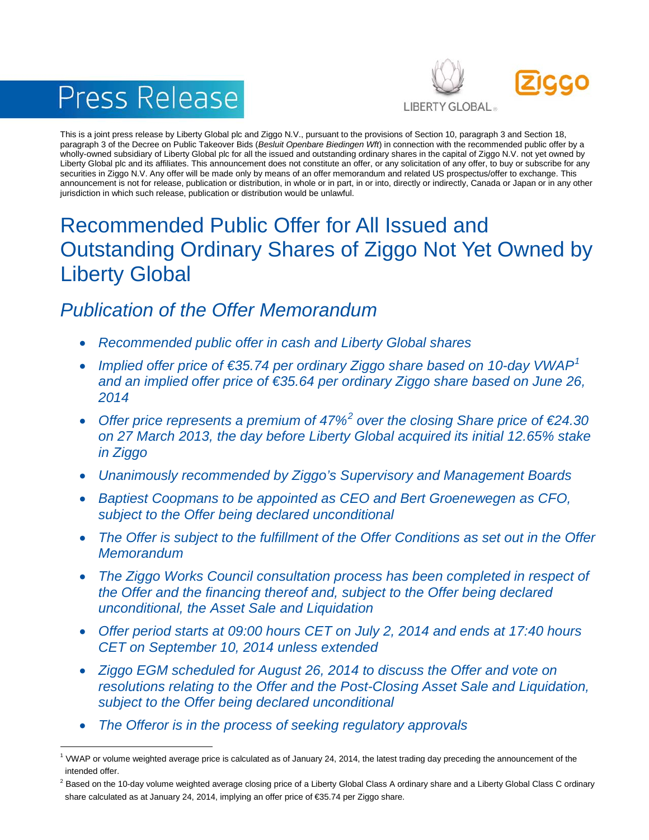# Press Release



This is a joint press release by Liberty Global plc and Ziggo N.V., pursuant to the provisions of Section 10, paragraph 3 and Section 18, paragraph 3 of the Decree on Public Takeover Bids (*Besluit Openbare Biedingen Wft*) in connection with the recommended public offer by a wholly-owned subsidiary of Liberty Global plc for all the issued and outstanding ordinary shares in the capital of Ziggo N.V. not yet owned by Liberty Global plc and its affiliates. This announcement does not constitute an offer, or any solicitation of any offer, to buy or subscribe for any securities in Ziggo N.V. Any offer will be made only by means of an offer memorandum and related US prospectus/offer to exchange. This announcement is not for release, publication or distribution, in whole or in part, in or into, directly or indirectly, Canada or Japan or in any other jurisdiction in which such release, publication or distribution would be unlawful.

# Recommended Public Offer for All Issued and Outstanding Ordinary Shares of Ziggo Not Yet Owned by Liberty Global

# *Publication of the Offer Memorandum*

- *Recommended public offer in cash and Liberty Global shares*
- *Implied offer price of €35.74 per ordinary Ziggo share based on 10-day VWAP[1](#page-0-0) and an implied offer price of €35.64 per ordinary Ziggo share based on June 26, 2014*
- *Offer price represents a premium of 47%[2](#page-0-1) over the closing Share price of €24.30 on 27 March 2013, the day before Liberty Global acquired its initial 12.65% stake in Ziggo*
- *Unanimously recommended by Ziggo's Supervisory and Management Boards*
- *Baptiest Coopmans to be appointed as CEO and Bert Groenewegen as CFO, subject to the Offer being declared unconditional*
- *The Offer is subject to the fulfillment of the Offer Conditions as set out in the Offer Memorandum*
- *The Ziggo Works Council consultation process has been completed in respect of the Offer and the financing thereof and, subject to the Offer being declared unconditional, the Asset Sale and Liquidation*
- *Offer period starts at 09:00 hours CET on July 2, 2014 and ends at 17:40 hours CET on September 10, 2014 unless extended*
- *Ziggo EGM scheduled for August 26, 2014 to discuss the Offer and vote on resolutions relating to the Offer and the Post-Closing Asset Sale and Liquidation, subject to the Offer being declared unconditional*
- *The Offeror is in the process of seeking regulatory approvals*

<span id="page-0-0"></span><sup>&</sup>lt;sup>1</sup> VWAP or volume weighted average price is calculated as of January 24, 2014, the latest trading day preceding the announcement of the intended offer.

<span id="page-0-1"></span> $^2$  Based on the 10-day volume weighted average closing price of a Liberty Global Class A ordinary share and a Liberty Global Class C ordinary share calculated as at January 24, 2014, implying an offer price of €35.74 per Ziggo share.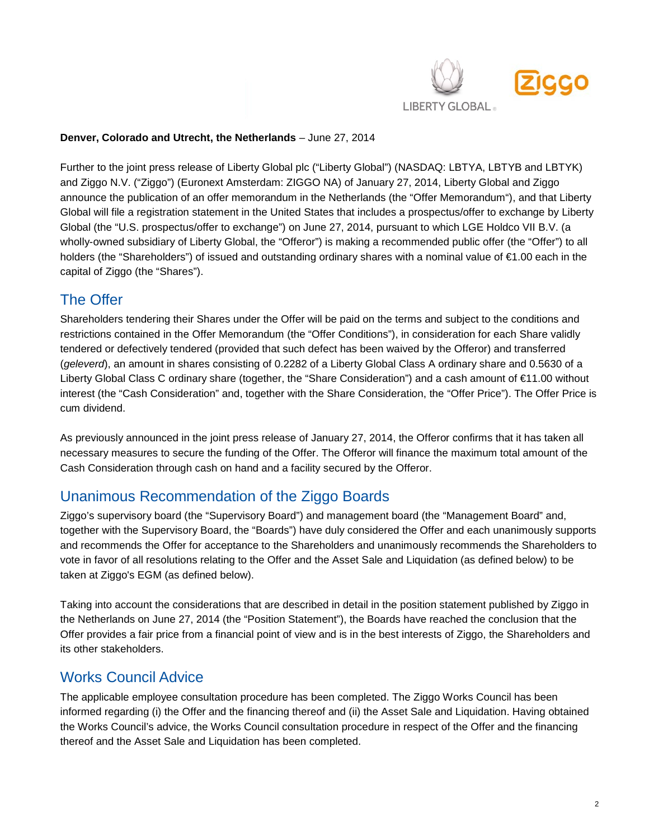

#### **Denver, Colorado and Utrecht, the Netherlands** – June 27, 2014

Further to the joint press release of Liberty Global plc ("Liberty Global") (NASDAQ: LBTYA, LBTYB and LBTYK) and Ziggo N.V. ("Ziggo") (Euronext Amsterdam: ZIGGO NA) of January 27, 2014, Liberty Global and Ziggo announce the publication of an offer memorandum in the Netherlands (the "Offer Memorandum"), and that Liberty Global will file a registration statement in the United States that includes a prospectus/offer to exchange by Liberty Global (the "U.S. prospectus/offer to exchange") on June 27, 2014, pursuant to which LGE Holdco VII B.V. (a wholly-owned subsidiary of Liberty Global, the "Offeror") is making a recommended public offer (the "Offer") to all holders (the "Shareholders") of issued and outstanding ordinary shares with a nominal value of €1.00 each in the capital of Ziggo (the "Shares").

#### The Offer

Shareholders tendering their Shares under the Offer will be paid on the terms and subject to the conditions and restrictions contained in the Offer Memorandum (the "Offer Conditions"), in consideration for each Share validly tendered or defectively tendered (provided that such defect has been waived by the Offeror) and transferred (*geleverd*), an amount in shares consisting of 0.2282 of a Liberty Global Class A ordinary share and 0.5630 of a Liberty Global Class C ordinary share (together, the "Share Consideration") and a cash amount of €11.00 without interest (the "Cash Consideration" and, together with the Share Consideration, the "Offer Price"). The Offer Price is cum dividend.

As previously announced in the joint press release of January 27, 2014, the Offeror confirms that it has taken all necessary measures to secure the funding of the Offer. The Offeror will finance the maximum total amount of the Cash Consideration through cash on hand and a facility secured by the Offeror.

#### Unanimous Recommendation of the Ziggo Boards

Ziggo's supervisory board (the "Supervisory Board") and management board (the "Management Board" and, together with the Supervisory Board, the "Boards") have duly considered the Offer and each unanimously supports and recommends the Offer for acceptance to the Shareholders and unanimously recommends the Shareholders to vote in favor of all resolutions relating to the Offer and the Asset Sale and Liquidation (as defined below) to be taken at Ziggo's EGM (as defined below).

Taking into account the considerations that are described in detail in the position statement published by Ziggo in the Netherlands on June 27, 2014 (the "Position Statement"), the Boards have reached the conclusion that the Offer provides a fair price from a financial point of view and is in the best interests of Ziggo, the Shareholders and its other stakeholders.

#### Works Council Advice

The applicable employee consultation procedure has been completed. The Ziggo Works Council has been informed regarding (i) the Offer and the financing thereof and (ii) the Asset Sale and Liquidation. Having obtained the Works Council's advice, the Works Council consultation procedure in respect of the Offer and the financing thereof and the Asset Sale and Liquidation has been completed.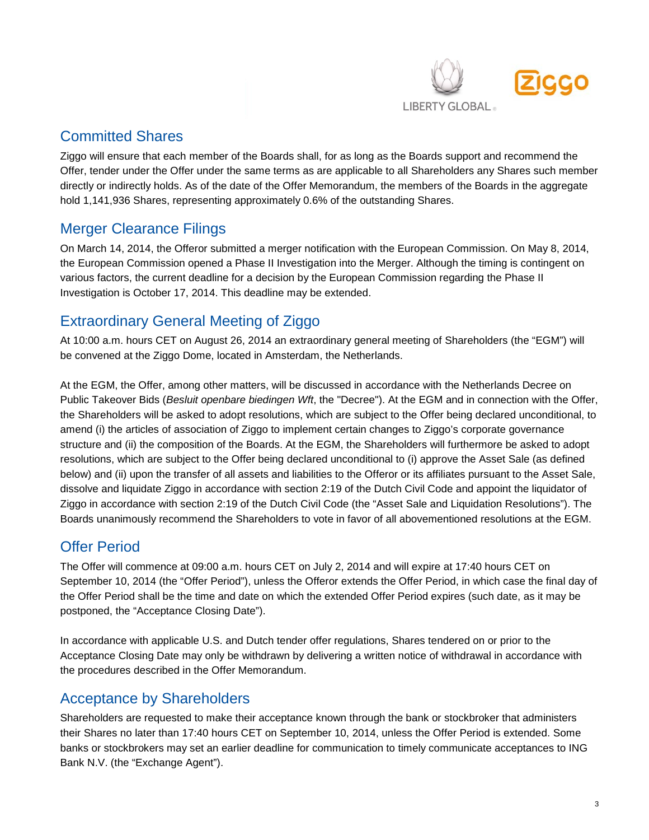

# Committed Shares

Ziggo will ensure that each member of the Boards shall, for as long as the Boards support and recommend the Offer, tender under the Offer under the same terms as are applicable to all Shareholders any Shares such member directly or indirectly holds. As of the date of the Offer Memorandum, the members of the Boards in the aggregate hold 1,141,936 Shares, representing approximately 0.6% of the outstanding Shares.

# Merger Clearance Filings

On March 14, 2014, the Offeror submitted a merger notification with the European Commission. On May 8, 2014, the European Commission opened a Phase II Investigation into the Merger. Although the timing is contingent on various factors, the current deadline for a decision by the European Commission regarding the Phase II Investigation is October 17, 2014. This deadline may be extended.

## Extraordinary General Meeting of Ziggo

At 10:00 a.m. hours CET on August 26, 2014 an extraordinary general meeting of Shareholders (the "EGM") will be convened at the Ziggo Dome, located in Amsterdam, the Netherlands.

At the EGM, the Offer, among other matters, will be discussed in accordance with the Netherlands Decree on Public Takeover Bids (*Besluit openbare biedingen Wft*, the "Decree"). At the EGM and in connection with the Offer, the Shareholders will be asked to adopt resolutions, which are subject to the Offer being declared unconditional, to amend (i) the articles of association of Ziggo to implement certain changes to Ziggo's corporate governance structure and (ii) the composition of the Boards. At the EGM, the Shareholders will furthermore be asked to adopt resolutions, which are subject to the Offer being declared unconditional to (i) approve the Asset Sale (as defined below) and (ii) upon the transfer of all assets and liabilities to the Offeror or its affiliates pursuant to the Asset Sale, dissolve and liquidate Ziggo in accordance with section 2:19 of the Dutch Civil Code and appoint the liquidator of Ziggo in accordance with section 2:19 of the Dutch Civil Code (the "Asset Sale and Liquidation Resolutions"). The Boards unanimously recommend the Shareholders to vote in favor of all abovementioned resolutions at the EGM.

# Offer Period

The Offer will commence at 09:00 a.m. hours CET on July 2, 2014 and will expire at 17:40 hours CET on September 10, 2014 (the "Offer Period"), unless the Offeror extends the Offer Period, in which case the final day of the Offer Period shall be the time and date on which the extended Offer Period expires (such date, as it may be postponed, the "Acceptance Closing Date").

In accordance with applicable U.S. and Dutch tender offer regulations, Shares tendered on or prior to the Acceptance Closing Date may only be withdrawn by delivering a written notice of withdrawal in accordance with the procedures described in the Offer Memorandum.

### Acceptance by Shareholders

Shareholders are requested to make their acceptance known through the bank or stockbroker that administers their Shares no later than 17:40 hours CET on September 10, 2014, unless the Offer Period is extended. Some banks or stockbrokers may set an earlier deadline for communication to timely communicate acceptances to ING Bank N.V. (the "Exchange Agent").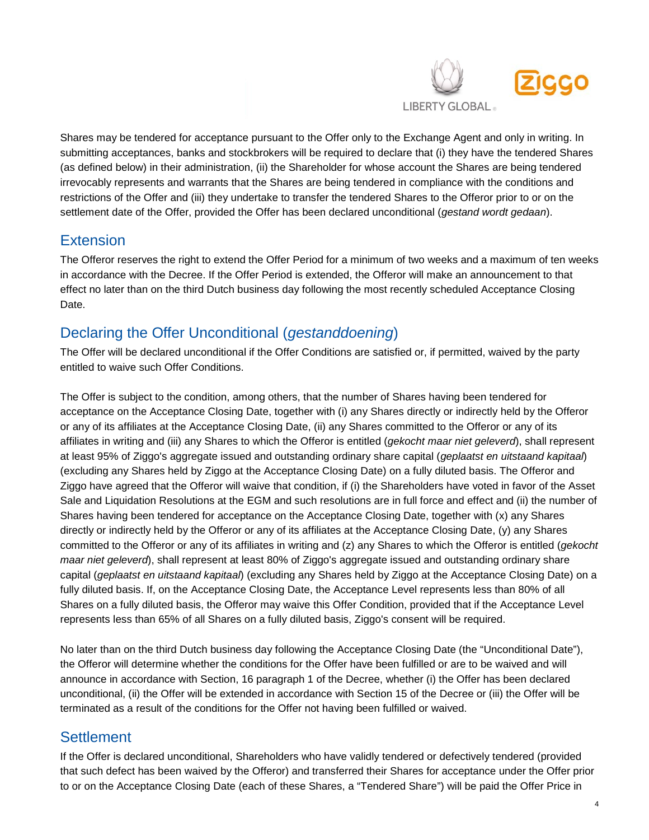

Shares may be tendered for acceptance pursuant to the Offer only to the Exchange Agent and only in writing. In submitting acceptances, banks and stockbrokers will be required to declare that (i) they have the tendered Shares (as defined below) in their administration, (ii) the Shareholder for whose account the Shares are being tendered irrevocably represents and warrants that the Shares are being tendered in compliance with the conditions and restrictions of the Offer and (iii) they undertake to transfer the tendered Shares to the Offeror prior to or on the settlement date of the Offer, provided the Offer has been declared unconditional (*gestand wordt gedaan*).

### **Extension**

The Offeror reserves the right to extend the Offer Period for a minimum of two weeks and a maximum of ten weeks in accordance with the Decree. If the Offer Period is extended, the Offeror will make an announcement to that effect no later than on the third Dutch business day following the most recently scheduled Acceptance Closing Date.

# Declaring the Offer Unconditional (*gestanddoening*)

The Offer will be declared unconditional if the Offer Conditions are satisfied or, if permitted, waived by the party entitled to waive such Offer Conditions.

The Offer is subject to the condition, among others, that the number of Shares having been tendered for acceptance on the Acceptance Closing Date, together with (i) any Shares directly or indirectly held by the Offeror or any of its affiliates at the Acceptance Closing Date, (ii) any Shares committed to the Offeror or any of its affiliates in writing and (iii) any Shares to which the Offeror is entitled (*gekocht maar niet geleverd*), shall represent at least 95% of Ziggo's aggregate issued and outstanding ordinary share capital (*geplaatst en uitstaand kapitaal*) (excluding any Shares held by Ziggo at the Acceptance Closing Date) on a fully diluted basis. The Offeror and Ziggo have agreed that the Offeror will waive that condition, if (i) the Shareholders have voted in favor of the Asset Sale and Liquidation Resolutions at the EGM and such resolutions are in full force and effect and (ii) the number of Shares having been tendered for acceptance on the Acceptance Closing Date, together with (x) any Shares directly or indirectly held by the Offeror or any of its affiliates at the Acceptance Closing Date, (y) any Shares committed to the Offeror or any of its affiliates in writing and (z) any Shares to which the Offeror is entitled (*gekocht maar niet geleverd*), shall represent at least 80% of Ziggo's aggregate issued and outstanding ordinary share capital (*geplaatst en uitstaand kapitaal*) (excluding any Shares held by Ziggo at the Acceptance Closing Date) on a fully diluted basis. If, on the Acceptance Closing Date, the Acceptance Level represents less than 80% of all Shares on a fully diluted basis, the Offeror may waive this Offer Condition, provided that if the Acceptance Level represents less than 65% of all Shares on a fully diluted basis, Ziggo's consent will be required.

No later than on the third Dutch business day following the Acceptance Closing Date (the "Unconditional Date"), the Offeror will determine whether the conditions for the Offer have been fulfilled or are to be waived and will announce in accordance with Section, 16 paragraph 1 of the Decree, whether (i) the Offer has been declared unconditional, (ii) the Offer will be extended in accordance with Section 15 of the Decree or (iii) the Offer will be terminated as a result of the conditions for the Offer not having been fulfilled or waived.

### **Settlement**

If the Offer is declared unconditional, Shareholders who have validly tendered or defectively tendered (provided that such defect has been waived by the Offeror) and transferred their Shares for acceptance under the Offer prior to or on the Acceptance Closing Date (each of these Shares, a "Tendered Share") will be paid the Offer Price in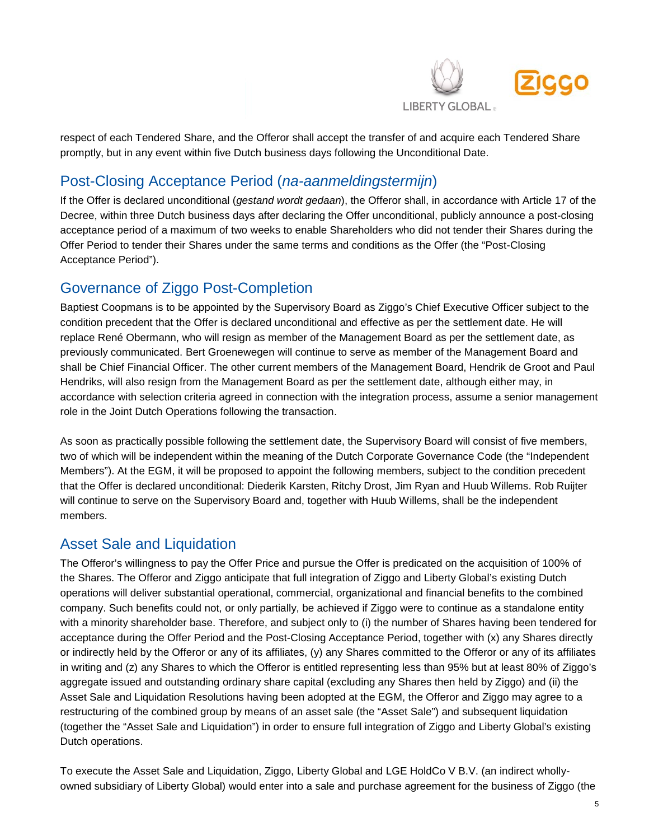

respect of each Tendered Share, and the Offeror shall accept the transfer of and acquire each Tendered Share promptly, but in any event within five Dutch business days following the Unconditional Date.

# Post-Closing Acceptance Period (*na-aanmeldingstermijn*)

If the Offer is declared unconditional (*gestand wordt gedaan*), the Offeror shall, in accordance with Article 17 of the Decree, within three Dutch business days after declaring the Offer unconditional, publicly announce a post-closing acceptance period of a maximum of two weeks to enable Shareholders who did not tender their Shares during the Offer Period to tender their Shares under the same terms and conditions as the Offer (the "Post-Closing Acceptance Period").

## Governance of Ziggo Post-Completion

Baptiest Coopmans is to be appointed by the Supervisory Board as Ziggo's Chief Executive Officer subject to the condition precedent that the Offer is declared unconditional and effective as per the settlement date. He will replace René Obermann, who will resign as member of the Management Board as per the settlement date, as previously communicated. Bert Groenewegen will continue to serve as member of the Management Board and shall be Chief Financial Officer. The other current members of the Management Board, Hendrik de Groot and Paul Hendriks, will also resign from the Management Board as per the settlement date, although either may, in accordance with selection criteria agreed in connection with the integration process, assume a senior management role in the Joint Dutch Operations following the transaction.

As soon as practically possible following the settlement date, the Supervisory Board will consist of five members, two of which will be independent within the meaning of the Dutch Corporate Governance Code (the "Independent Members"). At the EGM, it will be proposed to appoint the following members, subject to the condition precedent that the Offer is declared unconditional: Diederik Karsten, Ritchy Drost, Jim Ryan and Huub Willems. Rob Ruijter will continue to serve on the Supervisory Board and, together with Huub Willems, shall be the independent members.

#### Asset Sale and Liquidation

The Offeror's willingness to pay the Offer Price and pursue the Offer is predicated on the acquisition of 100% of the Shares. The Offeror and Ziggo anticipate that full integration of Ziggo and Liberty Global's existing Dutch operations will deliver substantial operational, commercial, organizational and financial benefits to the combined company. Such benefits could not, or only partially, be achieved if Ziggo were to continue as a standalone entity with a minority shareholder base. Therefore, and subject only to (i) the number of Shares having been tendered for acceptance during the Offer Period and the Post-Closing Acceptance Period, together with (x) any Shares directly or indirectly held by the Offeror or any of its affiliates, (y) any Shares committed to the Offeror or any of its affiliates in writing and (z) any Shares to which the Offeror is entitled representing less than 95% but at least 80% of Ziggo's aggregate issued and outstanding ordinary share capital (excluding any Shares then held by Ziggo) and (ii) the Asset Sale and Liquidation Resolutions having been adopted at the EGM, the Offeror and Ziggo may agree to a restructuring of the combined group by means of an asset sale (the "Asset Sale") and subsequent liquidation (together the "Asset Sale and Liquidation") in order to ensure full integration of Ziggo and Liberty Global's existing Dutch operations.

To execute the Asset Sale and Liquidation, Ziggo, Liberty Global and LGE HoldCo V B.V. (an indirect whollyowned subsidiary of Liberty Global) would enter into a sale and purchase agreement for the business of Ziggo (the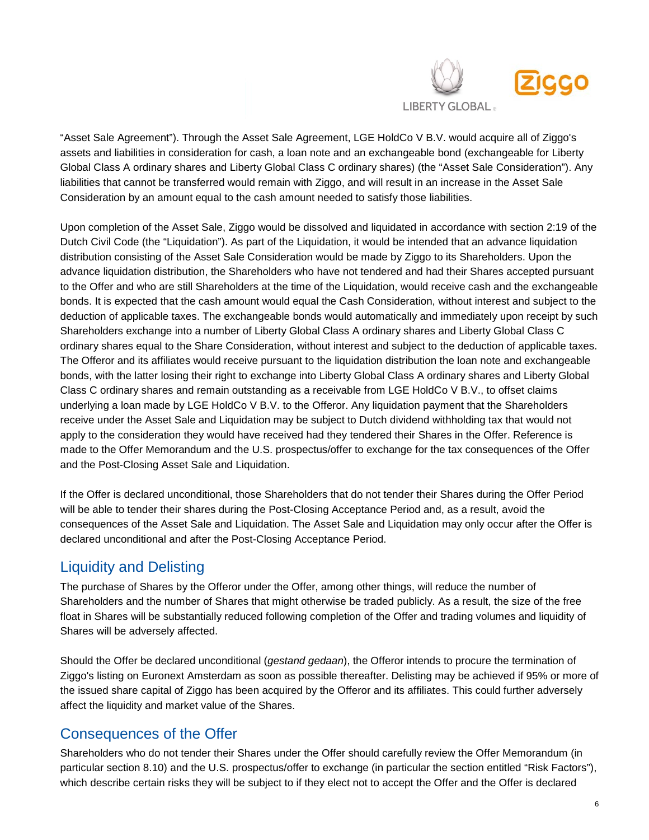

"Asset Sale Agreement"). Through the Asset Sale Agreement, LGE HoldCo V B.V. would acquire all of Ziggo's assets and liabilities in consideration for cash, a loan note and an exchangeable bond (exchangeable for Liberty Global Class A ordinary shares and Liberty Global Class C ordinary shares) (the "Asset Sale Consideration"). Any liabilities that cannot be transferred would remain with Ziggo, and will result in an increase in the Asset Sale Consideration by an amount equal to the cash amount needed to satisfy those liabilities.

Upon completion of the Asset Sale, Ziggo would be dissolved and liquidated in accordance with section 2:19 of the Dutch Civil Code (the "Liquidation"). As part of the Liquidation, it would be intended that an advance liquidation distribution consisting of the Asset Sale Consideration would be made by Ziggo to its Shareholders. Upon the advance liquidation distribution, the Shareholders who have not tendered and had their Shares accepted pursuant to the Offer and who are still Shareholders at the time of the Liquidation, would receive cash and the exchangeable bonds. It is expected that the cash amount would equal the Cash Consideration, without interest and subject to the deduction of applicable taxes. The exchangeable bonds would automatically and immediately upon receipt by such Shareholders exchange into a number of Liberty Global Class A ordinary shares and Liberty Global Class C ordinary shares equal to the Share Consideration, without interest and subject to the deduction of applicable taxes. The Offeror and its affiliates would receive pursuant to the liquidation distribution the loan note and exchangeable bonds, with the latter losing their right to exchange into Liberty Global Class A ordinary shares and Liberty Global Class C ordinary shares and remain outstanding as a receivable from LGE HoldCo V B.V., to offset claims underlying a loan made by LGE HoldCo V B.V. to the Offeror. Any liquidation payment that the Shareholders receive under the Asset Sale and Liquidation may be subject to Dutch dividend withholding tax that would not apply to the consideration they would have received had they tendered their Shares in the Offer. Reference is made to the Offer Memorandum and the U.S. prospectus/offer to exchange for the tax consequences of the Offer and the Post-Closing Asset Sale and Liquidation.

If the Offer is declared unconditional, those Shareholders that do not tender their Shares during the Offer Period will be able to tender their shares during the Post-Closing Acceptance Period and, as a result, avoid the consequences of the Asset Sale and Liquidation. The Asset Sale and Liquidation may only occur after the Offer is declared unconditional and after the Post-Closing Acceptance Period.

### Liquidity and Delisting

The purchase of Shares by the Offeror under the Offer, among other things, will reduce the number of Shareholders and the number of Shares that might otherwise be traded publicly. As a result, the size of the free float in Shares will be substantially reduced following completion of the Offer and trading volumes and liquidity of Shares will be adversely affected.

Should the Offer be declared unconditional (*gestand gedaan*), the Offeror intends to procure the termination of Ziggo's listing on Euronext Amsterdam as soon as possible thereafter. Delisting may be achieved if 95% or more of the issued share capital of Ziggo has been acquired by the Offeror and its affiliates. This could further adversely affect the liquidity and market value of the Shares.

# Consequences of the Offer

Shareholders who do not tender their Shares under the Offer should carefully review the Offer Memorandum (in particular section 8.10) and the U.S. prospectus/offer to exchange (in particular the section entitled "Risk Factors"), which describe certain risks they will be subject to if they elect not to accept the Offer and the Offer is declared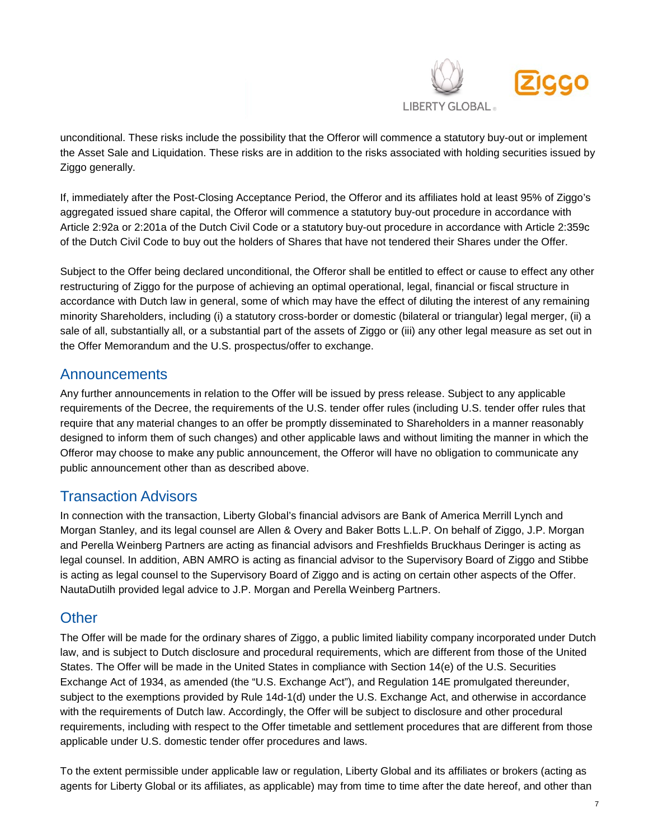

unconditional. These risks include the possibility that the Offeror will commence a statutory buy-out or implement the Asset Sale and Liquidation. These risks are in addition to the risks associated with holding securities issued by Ziggo generally.

If, immediately after the Post-Closing Acceptance Period, the Offeror and its affiliates hold at least 95% of Ziggo's aggregated issued share capital, the Offeror will commence a statutory buy-out procedure in accordance with Article 2:92a or 2:201a of the Dutch Civil Code or a statutory buy-out procedure in accordance with Article 2:359c of the Dutch Civil Code to buy out the holders of Shares that have not tendered their Shares under the Offer.

Subject to the Offer being declared unconditional, the Offeror shall be entitled to effect or cause to effect any other restructuring of Ziggo for the purpose of achieving an optimal operational, legal, financial or fiscal structure in accordance with Dutch law in general, some of which may have the effect of diluting the interest of any remaining minority Shareholders, including (i) a statutory cross-border or domestic (bilateral or triangular) legal merger, (ii) a sale of all, substantially all, or a substantial part of the assets of Ziggo or (iii) any other legal measure as set out in the Offer Memorandum and the U.S. prospectus/offer to exchange.

#### Announcements

Any further announcements in relation to the Offer will be issued by press release. Subject to any applicable requirements of the Decree, the requirements of the U.S. tender offer rules (including U.S. tender offer rules that require that any material changes to an offer be promptly disseminated to Shareholders in a manner reasonably designed to inform them of such changes) and other applicable laws and without limiting the manner in which the Offeror may choose to make any public announcement, the Offeror will have no obligation to communicate any public announcement other than as described above.

#### Transaction Advisors

In connection with the transaction, Liberty Global's financial advisors are Bank of America Merrill Lynch and Morgan Stanley, and its legal counsel are Allen & Overy and Baker Botts L.L.P. On behalf of Ziggo, J.P. Morgan and Perella Weinberg Partners are acting as financial advisors and Freshfields Bruckhaus Deringer is acting as legal counsel. In addition, ABN AMRO is acting as financial advisor to the Supervisory Board of Ziggo and Stibbe is acting as legal counsel to the Supervisory Board of Ziggo and is acting on certain other aspects of the Offer. NautaDutilh provided legal advice to J.P. Morgan and Perella Weinberg Partners.

#### **Other**

The Offer will be made for the ordinary shares of Ziggo, a public limited liability company incorporated under Dutch law, and is subject to Dutch disclosure and procedural requirements, which are different from those of the United States. The Offer will be made in the United States in compliance with Section 14(e) of the U.S. Securities Exchange Act of 1934, as amended (the "U.S. Exchange Act"), and Regulation 14E promulgated thereunder, subject to the exemptions provided by Rule 14d-1(d) under the U.S. Exchange Act, and otherwise in accordance with the requirements of Dutch law. Accordingly, the Offer will be subject to disclosure and other procedural requirements, including with respect to the Offer timetable and settlement procedures that are different from those applicable under U.S. domestic tender offer procedures and laws.

To the extent permissible under applicable law or regulation, Liberty Global and its affiliates or brokers (acting as agents for Liberty Global or its affiliates, as applicable) may from time to time after the date hereof, and other than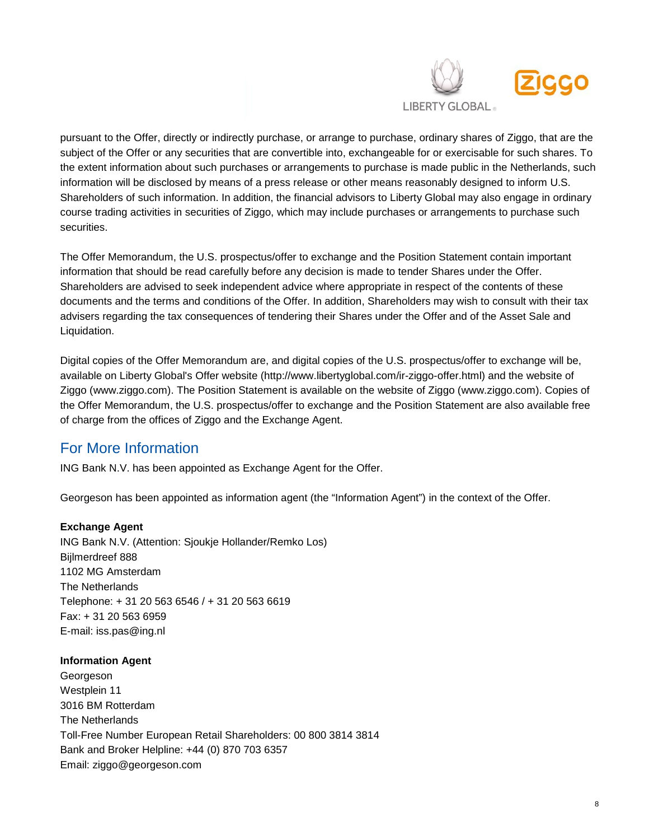

pursuant to the Offer, directly or indirectly purchase, or arrange to purchase, ordinary shares of Ziggo, that are the subject of the Offer or any securities that are convertible into, exchangeable for or exercisable for such shares. To the extent information about such purchases or arrangements to purchase is made public in the Netherlands, such information will be disclosed by means of a press release or other means reasonably designed to inform U.S. Shareholders of such information. In addition, the financial advisors to Liberty Global may also engage in ordinary course trading activities in securities of Ziggo, which may include purchases or arrangements to purchase such securities.

The Offer Memorandum, the U.S. prospectus/offer to exchange and the Position Statement contain important information that should be read carefully before any decision is made to tender Shares under the Offer. Shareholders are advised to seek independent advice where appropriate in respect of the contents of these documents and the terms and conditions of the Offer. In addition, Shareholders may wish to consult with their tax advisers regarding the tax consequences of tendering their Shares under the Offer and of the Asset Sale and Liquidation.

Digital copies of the Offer Memorandum are, and digital copies of the U.S. prospectus/offer to exchange will be, available on Liberty Global's Offer website (http://www.libertyglobal.com/ir-ziggo-offer.html) and the website of Ziggo (www.ziggo.com). The Position Statement is available on the website of Ziggo (www.ziggo.com). Copies of the Offer Memorandum, the U.S. prospectus/offer to exchange and the Position Statement are also available free of charge from the offices of Ziggo and the Exchange Agent.

### For More Information

ING Bank N.V. has been appointed as Exchange Agent for the Offer.

Georgeson has been appointed as information agent (the "Information Agent") in the context of the Offer.

#### **Exchange Agent**

ING Bank N.V. (Attention: Sjoukje Hollander/Remko Los) Bijlmerdreef 888 1102 MG Amsterdam The Netherlands Telephone: + 31 20 563 6546 / + 31 20 563 6619 Fax: + 31 20 563 6959 E-mail: [iss.pas@ing.nl](mailto:iss.pas@ing.nl)

#### **Information Agent**

Georgeson Westplein 11 3016 BM Rotterdam The Netherlands Toll-Free Number European Retail Shareholders: 00 800 3814 3814 Bank and Broker Helpline: +44 (0) 870 703 6357 Email: [ziggo@georgeson.com](mailto:ziggo@georgeson.com)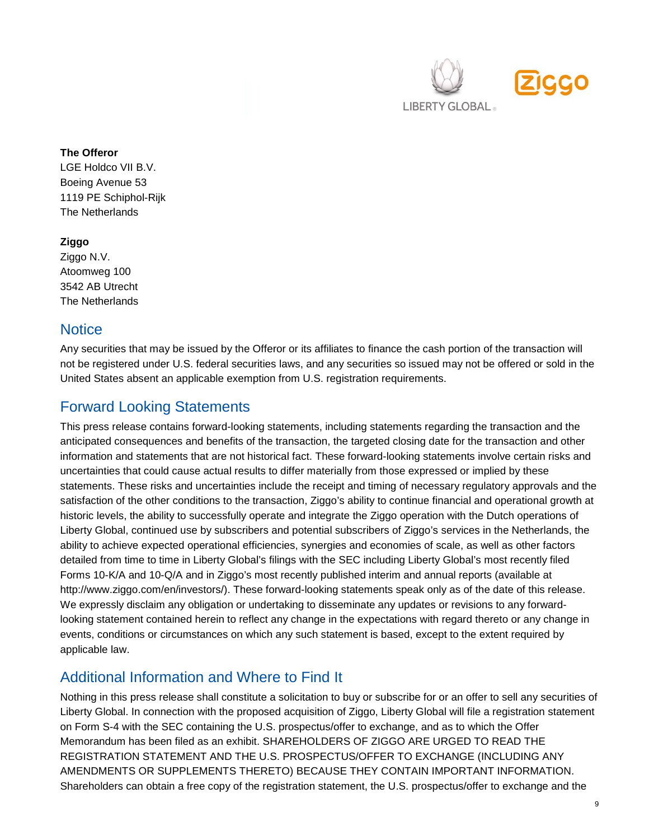

#### **The Offeror**

LGE Holdco VII B.V. Boeing Avenue 53 1119 PE Schiphol-Rijk The Netherlands

#### **Ziggo**

Ziggo N.V. Atoomweg 100 3542 AB Utrecht The Netherlands

#### **Notice**

Any securities that may be issued by the Offeror or its affiliates to finance the cash portion of the transaction will not be registered under U.S. federal securities laws, and any securities so issued may not be offered or sold in the United States absent an applicable exemption from U.S. registration requirements.

## Forward Looking Statements

This press release contains forward-looking statements, including statements regarding the transaction and the anticipated consequences and benefits of the transaction, the targeted closing date for the transaction and other information and statements that are not historical fact. These forward-looking statements involve certain risks and uncertainties that could cause actual results to differ materially from those expressed or implied by these statements. These risks and uncertainties include the receipt and timing of necessary regulatory approvals and the satisfaction of the other conditions to the transaction, Ziggo's ability to continue financial and operational growth at historic levels, the ability to successfully operate and integrate the Ziggo operation with the Dutch operations of Liberty Global, continued use by subscribers and potential subscribers of Ziggo's services in the Netherlands, the ability to achieve expected operational efficiencies, synergies and economies of scale, as well as other factors detailed from time to time in Liberty Global's filings with the SEC including Liberty Global's most recently filed Forms 10-K/A and 10-Q/A and in Ziggo's most recently published interim and annual reports (available at http://www.ziggo.com/en/investors/). These forward-looking statements speak only as of the date of this release. We expressly disclaim any obligation or undertaking to disseminate any updates or revisions to any forwardlooking statement contained herein to reflect any change in the expectations with regard thereto or any change in events, conditions or circumstances on which any such statement is based, except to the extent required by applicable law.

### Additional Information and Where to Find It

Nothing in this press release shall constitute a solicitation to buy or subscribe for or an offer to sell any securities of Liberty Global. In connection with the proposed acquisition of Ziggo, Liberty Global will file a registration statement on Form S-4 with the SEC containing the U.S. prospectus/offer to exchange, and as to which the Offer Memorandum has been filed as an exhibit. SHAREHOLDERS OF ZIGGO ARE URGED TO READ THE REGISTRATION STATEMENT AND THE U.S. PROSPECTUS/OFFER TO EXCHANGE (INCLUDING ANY AMENDMENTS OR SUPPLEMENTS THERETO) BECAUSE THEY CONTAIN IMPORTANT INFORMATION. Shareholders can obtain a free copy of the registration statement, the U.S. prospectus/offer to exchange and the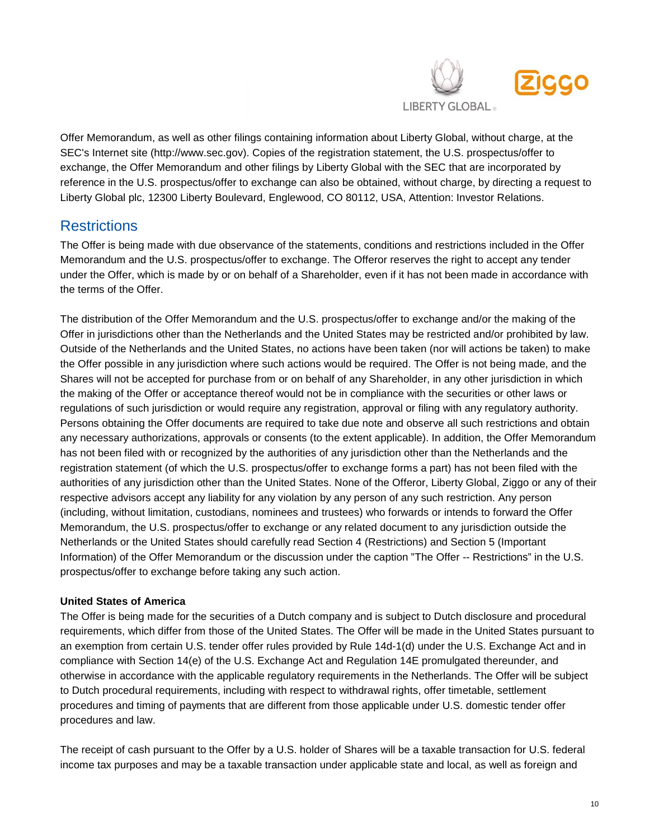

Offer Memorandum, as well as other filings containing information about Liberty Global, without charge, at the SEC's Internet site [\(http://www.sec.gov\)](http://www.sec.gov/). Copies of the registration statement, the U.S. prospectus/offer to exchange, the Offer Memorandum and other filings by Liberty Global with the SEC that are incorporated by reference in the U.S. prospectus/offer to exchange can also be obtained, without charge, by directing a request to Liberty Global plc, 12300 Liberty Boulevard, Englewood, CO 80112, USA, Attention: Investor Relations.

#### **Restrictions**

The Offer is being made with due observance of the statements, conditions and restrictions included in the Offer Memorandum and the U.S. prospectus/offer to exchange. The Offeror reserves the right to accept any tender under the Offer, which is made by or on behalf of a Shareholder, even if it has not been made in accordance with the terms of the Offer.

The distribution of the Offer Memorandum and the U.S. prospectus/offer to exchange and/or the making of the Offer in jurisdictions other than the Netherlands and the United States may be restricted and/or prohibited by law. Outside of the Netherlands and the United States, no actions have been taken (nor will actions be taken) to make the Offer possible in any jurisdiction where such actions would be required. The Offer is not being made, and the Shares will not be accepted for purchase from or on behalf of any Shareholder, in any other jurisdiction in which the making of the Offer or acceptance thereof would not be in compliance with the securities or other laws or regulations of such jurisdiction or would require any registration, approval or filing with any regulatory authority. Persons obtaining the Offer documents are required to take due note and observe all such restrictions and obtain any necessary authorizations, approvals or consents (to the extent applicable). In addition, the Offer Memorandum has not been filed with or recognized by the authorities of any jurisdiction other than the Netherlands and the registration statement (of which the U.S. prospectus/offer to exchange forms a part) has not been filed with the authorities of any jurisdiction other than the United States. None of the Offeror, Liberty Global, Ziggo or any of their respective advisors accept any liability for any violation by any person of any such restriction. Any person (including, without limitation, custodians, nominees and trustees) who forwards or intends to forward the Offer Memorandum, the U.S. prospectus/offer to exchange or any related document to any jurisdiction outside the Netherlands or the United States should carefully read Section 4 (Restrictions) and Section 5 (Important Information) of the Offer Memorandum or the discussion under the caption "The Offer -- Restrictions" in the U.S. prospectus/offer to exchange before taking any such action.

#### **United States of America**

The Offer is being made for the securities of a Dutch company and is subject to Dutch disclosure and procedural requirements, which differ from those of the United States. The Offer will be made in the United States pursuant to an exemption from certain U.S. tender offer rules provided by Rule 14d-1(d) under the U.S. Exchange Act and in compliance with Section 14(e) of the U.S. Exchange Act and Regulation 14E promulgated thereunder, and otherwise in accordance with the applicable regulatory requirements in the Netherlands. The Offer will be subject to Dutch procedural requirements, including with respect to withdrawal rights, offer timetable, settlement procedures and timing of payments that are different from those applicable under U.S. domestic tender offer procedures and law.

The receipt of cash pursuant to the Offer by a U.S. holder of Shares will be a taxable transaction for U.S. federal income tax purposes and may be a taxable transaction under applicable state and local, as well as foreign and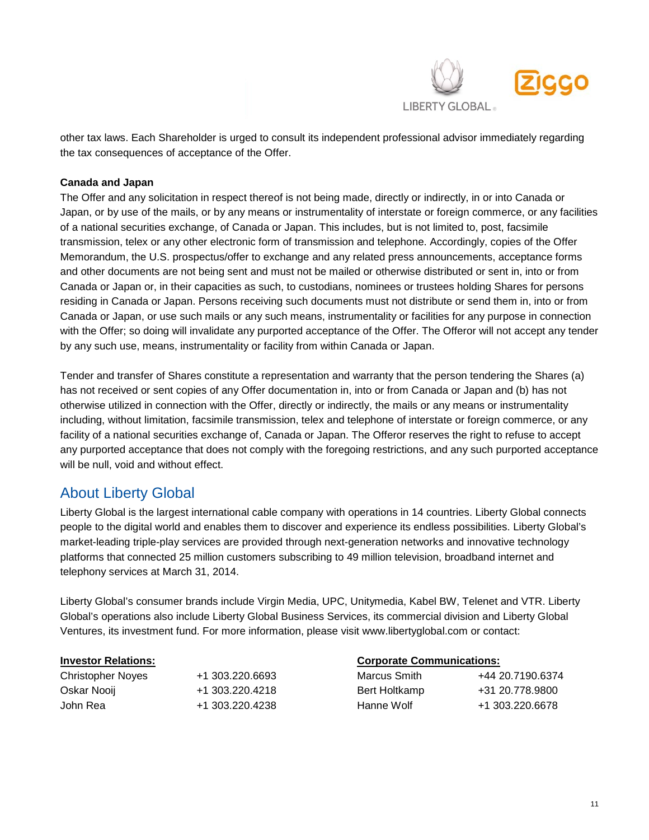

other tax laws. Each Shareholder is urged to consult its independent professional advisor immediately regarding the tax consequences of acceptance of the Offer.

#### **Canada and Japan**

The Offer and any solicitation in respect thereof is not being made, directly or indirectly, in or into Canada or Japan, or by use of the mails, or by any means or instrumentality of interstate or foreign commerce, or any facilities of a national securities exchange, of Canada or Japan. This includes, but is not limited to, post, facsimile transmission, telex or any other electronic form of transmission and telephone. Accordingly, copies of the Offer Memorandum, the U.S. prospectus/offer to exchange and any related press announcements, acceptance forms and other documents are not being sent and must not be mailed or otherwise distributed or sent in, into or from Canada or Japan or, in their capacities as such, to custodians, nominees or trustees holding Shares for persons residing in Canada or Japan. Persons receiving such documents must not distribute or send them in, into or from Canada or Japan, or use such mails or any such means, instrumentality or facilities for any purpose in connection with the Offer; so doing will invalidate any purported acceptance of the Offer. The Offeror will not accept any tender by any such use, means, instrumentality or facility from within Canada or Japan.

Tender and transfer of Shares constitute a representation and warranty that the person tendering the Shares (a) has not received or sent copies of any Offer documentation in, into or from Canada or Japan and (b) has not otherwise utilized in connection with the Offer, directly or indirectly, the mails or any means or instrumentality including, without limitation, facsimile transmission, telex and telephone of interstate or foreign commerce, or any facility of a national securities exchange of, Canada or Japan. The Offeror reserves the right to refuse to accept any purported acceptance that does not comply with the foregoing restrictions, and any such purported acceptance will be null, void and without effect.

#### About Liberty Global

Liberty Global is the largest international cable company with operations in 14 countries. Liberty Global connects people to the digital world and enables them to discover and experience its endless possibilities. Liberty Global's market-leading triple-play services are provided through next-generation networks and innovative technology platforms that connected 25 million customers subscribing to 49 million television, broadband internet and telephony services at March 31, 2014.

Liberty Global's consumer brands include Virgin Media, UPC, Unitymedia, Kabel BW, Telenet and VTR. Liberty Global's operations also include Liberty Global Business Services, its commercial division and Liberty Global Ventures, its investment fund. For more information, please visit [www.libertyglobal.com](http://www.libertyglobal.com/) or contact:

| Christopher Noves | +1 303.220.6693 | Marcus Smith  | +44 20.7190.6374 |
|-------------------|-----------------|---------------|------------------|
| Oskar Nooij       | +1 303.220.4218 | Bert Holtkamp | +31 20.778.9800  |
| John Rea          | +1 303.220.4238 | Hanne Wolf    | +1 303.220.6678  |

#### **Investor Relations: Corporate Communications:**

| Marcus Smith  | +44 20.7190.6374 |
|---------------|------------------|
| Bert Holtkamp | +31 20.778.9800  |
| Hanne Wolf    | +1 303.220.6678  |